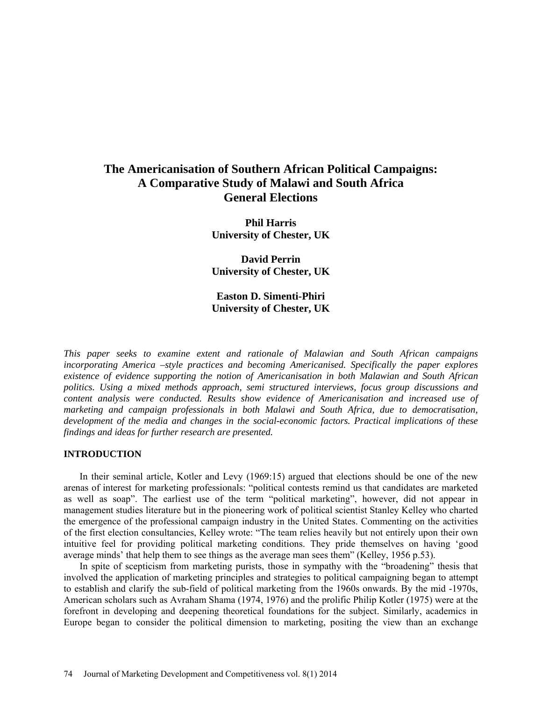# **The Americanisation of Southern African Political Campaigns: A Comparative Study of Malawi and South Africa General Elections**

**Phil Harris University of Chester, UK**

**David Perrin University of Chester, UK**

**Easton D. Simenti-Phiri University of Chester, UK**

*This paper seeks to examine extent and rationale of Malawian and South African campaigns incorporating America –style practices and becoming Americanised. Specifically the paper explores existence of evidence supporting the notion of Americanisation in both Malawian and South African politics. Using a mixed methods approach, semi structured interviews, focus group discussions and content analysis were conducted. Results show evidence of Americanisation and increased use of marketing and campaign professionals in both Malawi and South Africa, due to democratisation, development of the media and changes in the social-economic factors. Practical implications of these findings and ideas for further research are presented.* 

## **INTRODUCTION**

In their seminal article, Kotler and Levy (1969:15) argued that elections should be one of the new arenas of interest for marketing professionals: "political contests remind us that candidates are marketed as well as soap". The earliest use of the term "political marketing", however, did not appear in management studies literature but in the pioneering work of political scientist Stanley Kelley who charted the emergence of the professional campaign industry in the United States. Commenting on the activities of the first election consultancies, Kelley wrote: "The team relies heavily but not entirely upon their own intuitive feel for providing political marketing conditions. They pride themselves on having 'good average minds' that help them to see things as the average man sees them" (Kelley, 1956 p.53).

In spite of scepticism from marketing purists, those in sympathy with the "broadening" thesis that involved the application of marketing principles and strategies to political campaigning began to attempt to establish and clarify the sub-field of political marketing from the 1960s onwards. By the mid -1970s, American scholars such as Avraham Shama (1974, 1976) and the prolific Philip Kotler (1975) were at the forefront in developing and deepening theoretical foundations for the subject. Similarly, academics in Europe began to consider the political dimension to marketing, positing the view than an exchange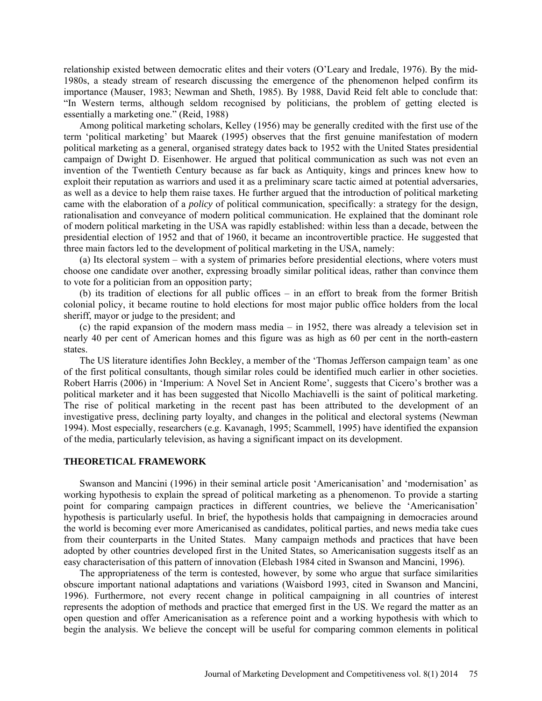relationship existed between democratic elites and their voters (O'Leary and Iredale, 1976). By the mid-1980s, a steady stream of research discussing the emergence of the phenomenon helped confirm its importance (Mauser, 1983; Newman and Sheth, 1985). By 1988, David Reid felt able to conclude that: "In Western terms, although seldom recognised by politicians, the problem of getting elected is essentially a marketing one." (Reid, 1988)

Among political marketing scholars, Kelley (1956) may be generally credited with the first use of the term 'political marketing' but Maarek (1995) observes that the first genuine manifestation of modern political marketing as a general, organised strategy dates back to 1952 with the United States presidential campaign of Dwight D. Eisenhower. He argued that political communication as such was not even an invention of the Twentieth Century because as far back as Antiquity, kings and princes knew how to exploit their reputation as warriors and used it as a preliminary scare tactic aimed at potential adversaries, as well as a device to help them raise taxes. He further argued that the introduction of political marketing came with the elaboration of a *policy* of political communication, specifically: a strategy for the design, rationalisation and conveyance of modern political communication. He explained that the dominant role of modern political marketing in the USA was rapidly established: within less than a decade, between the presidential election of 1952 and that of 1960, it became an incontrovertible practice. He suggested that three main factors led to the development of political marketing in the USA, namely:

(a) Its electoral system – with a system of primaries before presidential elections, where voters must choose one candidate over another, expressing broadly similar political ideas, rather than convince them to vote for a politician from an opposition party;

(b) its tradition of elections for all public offices – in an effort to break from the former British colonial policy, it became routine to hold elections for most major public office holders from the local sheriff, mayor or judge to the president; and

(c) the rapid expansion of the modern mass media – in 1952, there was already a television set in nearly 40 per cent of American homes and this figure was as high as 60 per cent in the north-eastern states.

The US literature identifies John Beckley, a member of the 'Thomas Jefferson campaign team' as one of the first political consultants, though similar roles could be identified much earlier in other societies. Robert Harris (2006) in 'Imperium: A Novel Set in Ancient Rome', suggests that Cicero's brother was a political marketer and it has been suggested that Nicollo Machiavelli is the saint of political marketing. The rise of political marketing in the recent past has been attributed to the development of an investigative press, declining party loyalty, and changes in the political and electoral systems (Newman 1994). Most especially, researchers (e.g. Kavanagh, 1995; Scammell, 1995) have identified the expansion of the media, particularly television, as having a significant impact on its development.

#### **THEORETICAL FRAMEWORK**

Swanson and Mancini (1996) in their seminal article posit 'Americanisation' and 'modernisation' as working hypothesis to explain the spread of political marketing as a phenomenon. To provide a starting point for comparing campaign practices in different countries, we believe the 'Americanisation' hypothesis is particularly useful. In brief, the hypothesis holds that campaigning in democracies around the world is becoming ever more Americanised as candidates, political parties, and news media take cues from their counterparts in the United States. Many campaign methods and practices that have been adopted by other countries developed first in the United States, so Americanisation suggests itself as an easy characterisation of this pattern of innovation (Elebash 1984 cited in Swanson and Mancini, 1996).

The appropriateness of the term is contested, however, by some who argue that surface similarities obscure important national adaptations and variations (Waisbord 1993, cited in Swanson and Mancini, 1996). Furthermore, not every recent change in political campaigning in all countries of interest represents the adoption of methods and practice that emerged first in the US. We regard the matter as an open question and offer Americanisation as a reference point and a working hypothesis with which to begin the analysis. We believe the concept will be useful for comparing common elements in political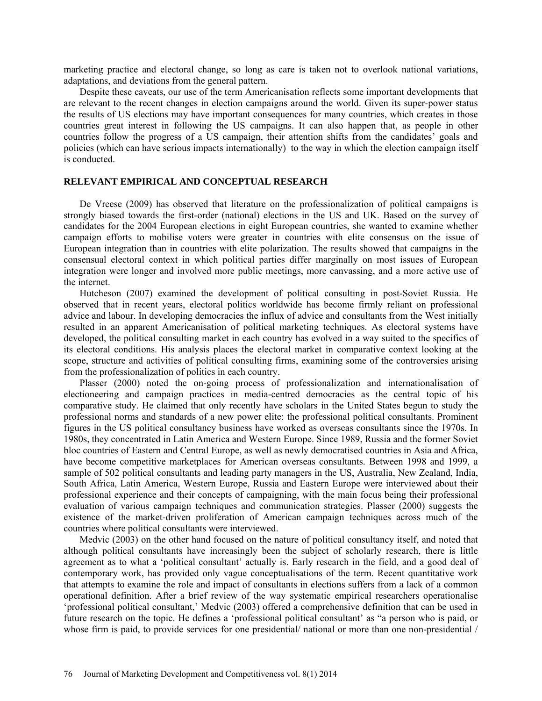marketing practice and electoral change, so long as care is taken not to overlook national variations, adaptations, and deviations from the general pattern.

Despite these caveats, our use of the term Americanisation reflects some important developments that are relevant to the recent changes in election campaigns around the world. Given its super-power status the results of US elections may have important consequences for many countries, which creates in those countries great interest in following the US campaigns. It can also happen that, as people in other countries follow the progress of a US campaign, their attention shifts from the candidates' goals and policies (which can have serious impacts internationally) to the way in which the election campaign itself is conducted.

## **RELEVANT EMPIRICAL AND CONCEPTUAL RESEARCH**

De Vreese (2009) has observed that literature on the professionalization of political campaigns is strongly biased towards the first-order (national) elections in the US and UK. Based on the survey of candidates for the 2004 European elections in eight European countries, she wanted to examine whether campaign efforts to mobilise voters were greater in countries with elite consensus on the issue of European integration than in countries with elite polarization. The results showed that campaigns in the consensual electoral context in which political parties differ marginally on most issues of European integration were longer and involved more public meetings, more canvassing, and a more active use of the internet.

Hutcheson (2007) examined the development of political consulting in post-Soviet Russia. He observed that in recent years, electoral politics worldwide has become firmly reliant on professional advice and labour. In developing democracies the influx of advice and consultants from the West initially resulted in an apparent Americanisation of political marketing techniques. As electoral systems have developed, the political consulting market in each country has evolved in a way suited to the specifics of its electoral conditions. His analysis places the electoral market in comparative context looking at the scope, structure and activities of political consulting firms, examining some of the controversies arising from the professionalization of politics in each country.

Plasser (2000) noted the on-going process of professionalization and internationalisation of electioneering and campaign practices in media-centred democracies as the central topic of his comparative study. He claimed that only recently have scholars in the United States begun to study the professional norms and standards of a new power elite: the professional political consultants. Prominent figures in the US political consultancy business have worked as overseas consultants since the 1970s. In 1980s, they concentrated in Latin America and Western Europe. Since 1989, Russia and the former Soviet bloc countries of Eastern and Central Europe, as well as newly democratised countries in Asia and Africa, have become competitive marketplaces for American overseas consultants. Between 1998 and 1999, a sample of 502 political consultants and leading party managers in the US, Australia, New Zealand, India, South Africa, Latin America, Western Europe, Russia and Eastern Europe were interviewed about their professional experience and their concepts of campaigning, with the main focus being their professional evaluation of various campaign techniques and communication strategies. Plasser (2000) suggests the existence of the market-driven proliferation of American campaign techniques across much of the countries where political consultants were interviewed.

Medvic (2003) on the other hand focused on the nature of political consultancy itself, and noted that although political consultants have increasingly been the subject of scholarly research, there is little agreement as to what a 'political consultant' actually is. Early research in the field, and a good deal of contemporary work, has provided only vague conceptualisations of the term. Recent quantitative work that attempts to examine the role and impact of consultants in elections suffers from a lack of a common operational definition. After a brief review of the way systematic empirical researchers operationalise 'professional political consultant,' Medvic (2003) offered a comprehensive definition that can be used in future research on the topic. He defines a 'professional political consultant' as "a person who is paid, or whose firm is paid, to provide services for one presidential/ national or more than one non-presidential /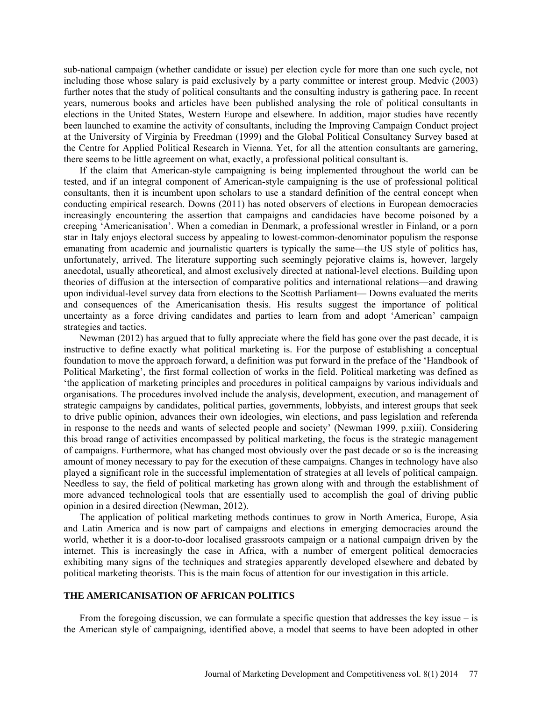sub-national campaign (whether candidate or issue) per election cycle for more than one such cycle, not including those whose salary is paid exclusively by a party committee or interest group. Medvic (2003) further notes that the study of political consultants and the consulting industry is gathering pace. In recent years, numerous books and articles have been published analysing the role of political consultants in elections in the United States, Western Europe and elsewhere. In addition, major studies have recently been launched to examine the activity of consultants, including the Improving Campaign Conduct project at the University of Virginia by Freedman (1999) and the Global Political Consultancy Survey based at the Centre for Applied Political Research in Vienna. Yet, for all the attention consultants are garnering, there seems to be little agreement on what, exactly, a professional political consultant is.

If the claim that American-style campaigning is being implemented throughout the world can be tested, and if an integral component of American-style campaigning is the use of professional political consultants, then it is incumbent upon scholars to use a standard definition of the central concept when conducting empirical research. Downs (2011) has noted observers of elections in European democracies increasingly encountering the assertion that campaigns and candidacies have become poisoned by a creeping 'Americanisation'. When a comedian in Denmark, a professional wrestler in Finland, or a porn star in Italy enjoys electoral success by appealing to lowest-common-denominator populism the response emanating from academic and journalistic quarters is typically the same—the US style of politics has, unfortunately, arrived. The literature supporting such seemingly pejorative claims is, however, largely anecdotal, usually atheoretical, and almost exclusively directed at national-level elections. Building upon theories of diffusion at the intersection of comparative politics and international relations—and drawing upon individual-level survey data from elections to the Scottish Parliament— Downs evaluated the merits and consequences of the Americanisation thesis. His results suggest the importance of political uncertainty as a force driving candidates and parties to learn from and adopt 'American' campaign strategies and tactics.

Newman (2012) has argued that to fully appreciate where the field has gone over the past decade, it is instructive to define exactly what political marketing is. For the purpose of establishing a conceptual foundation to move the approach forward, a definition was put forward in the preface of the 'Handbook of Political Marketing', the first formal collection of works in the field. Political marketing was defined as 'the application of marketing principles and procedures in political campaigns by various individuals and organisations. The procedures involved include the analysis, development, execution, and management of strategic campaigns by candidates, political parties, governments, lobbyists, and interest groups that seek to drive public opinion, advances their own ideologies, win elections, and pass legislation and referenda in response to the needs and wants of selected people and society' (Newman 1999, p.xiii). Considering this broad range of activities encompassed by political marketing, the focus is the strategic management of campaigns. Furthermore, what has changed most obviously over the past decade or so is the increasing amount of money necessary to pay for the execution of these campaigns. Changes in technology have also played a significant role in the successful implementation of strategies at all levels of political campaign. Needless to say, the field of political marketing has grown along with and through the establishment of more advanced technological tools that are essentially used to accomplish the goal of driving public opinion in a desired direction (Newman, 2012).

The application of political marketing methods continues to grow in North America, Europe, Asia and Latin America and is now part of campaigns and elections in emerging democracies around the world, whether it is a door-to-door localised grassroots campaign or a national campaign driven by the internet. This is increasingly the case in Africa, with a number of emergent political democracies exhibiting many signs of the techniques and strategies apparently developed elsewhere and debated by political marketing theorists. This is the main focus of attention for our investigation in this article.

# **THE AMERICANISATION OF AFRICAN POLITICS**

From the foregoing discussion, we can formulate a specific question that addresses the key issue – is the American style of campaigning, identified above, a model that seems to have been adopted in other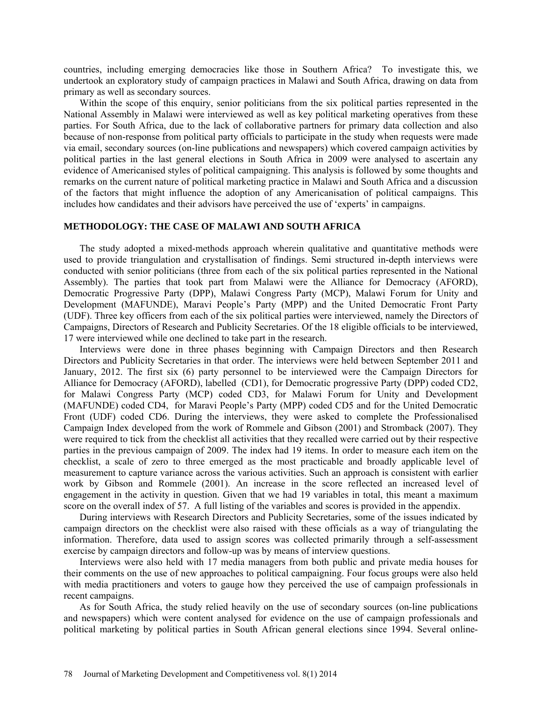countries, including emerging democracies like those in Southern Africa? To investigate this, we undertook an exploratory study of campaign practices in Malawi and South Africa, drawing on data from primary as well as secondary sources.

Within the scope of this enquiry, senior politicians from the six political parties represented in the National Assembly in Malawi were interviewed as well as key political marketing operatives from these parties. For South Africa, due to the lack of collaborative partners for primary data collection and also because of non-response from political party officials to participate in the study when requests were made via email, secondary sources (on-line publications and newspapers) which covered campaign activities by political parties in the last general elections in South Africa in 2009 were analysed to ascertain any evidence of Americanised styles of political campaigning. This analysis is followed by some thoughts and remarks on the current nature of political marketing practice in Malawi and South Africa and a discussion of the factors that might influence the adoption of any Americanisation of political campaigns. This includes how candidates and their advisors have perceived the use of 'experts' in campaigns.

## **METHODOLOGY: THE CASE OF MALAWI AND SOUTH AFRICA**

The study adopted a mixed-methods approach wherein qualitative and quantitative methods were used to provide triangulation and crystallisation of findings. Semi structured in-depth interviews were conducted with senior politicians (three from each of the six political parties represented in the National Assembly). The parties that took part from Malawi were the Alliance for Democracy (AFORD), Democratic Progressive Party (DPP), Malawi Congress Party (MCP), Malawi Forum for Unity and Development (MAFUNDE), Maravi People's Party (MPP) and the United Democratic Front Party (UDF). Three key officers from each of the six political parties were interviewed, namely the Directors of Campaigns, Directors of Research and Publicity Secretaries. Of the 18 eligible officials to be interviewed, 17 were interviewed while one declined to take part in the research.

Interviews were done in three phases beginning with Campaign Directors and then Research Directors and Publicity Secretaries in that order. The interviews were held between September 2011 and January, 2012. The first six (6) party personnel to be interviewed were the Campaign Directors for Alliance for Democracy (AFORD), labelled (CD1), for Democratic progressive Party (DPP) coded CD2, for Malawi Congress Party (MCP) coded CD3, for Malawi Forum for Unity and Development (MAFUNDE) coded CD4, for Maravi People's Party (MPP) coded CD5 and for the United Democratic Front (UDF) coded CD6. During the interviews, they were asked to complete the Professionalised Campaign Index developed from the work of Rommele and Gibson (2001) and Stromback (2007). They were required to tick from the checklist all activities that they recalled were carried out by their respective parties in the previous campaign of 2009. The index had 19 items. In order to measure each item on the checklist, a scale of zero to three emerged as the most practicable and broadly applicable level of measurement to capture variance across the various activities. Such an approach is consistent with earlier work by Gibson and Rommele (2001). An increase in the score reflected an increased level of engagement in the activity in question. Given that we had 19 variables in total, this meant a maximum score on the overall index of 57. A full listing of the variables and scores is provided in the appendix.

During interviews with Research Directors and Publicity Secretaries, some of the issues indicated by campaign directors on the checklist were also raised with these officials as a way of triangulating the information. Therefore, data used to assign scores was collected primarily through a self-assessment exercise by campaign directors and follow-up was by means of interview questions.

Interviews were also held with 17 media managers from both public and private media houses for their comments on the use of new approaches to political campaigning. Four focus groups were also held with media practitioners and voters to gauge how they perceived the use of campaign professionals in recent campaigns.

As for South Africa, the study relied heavily on the use of secondary sources (on-line publications and newspapers) which were content analysed for evidence on the use of campaign professionals and political marketing by political parties in South African general elections since 1994. Several online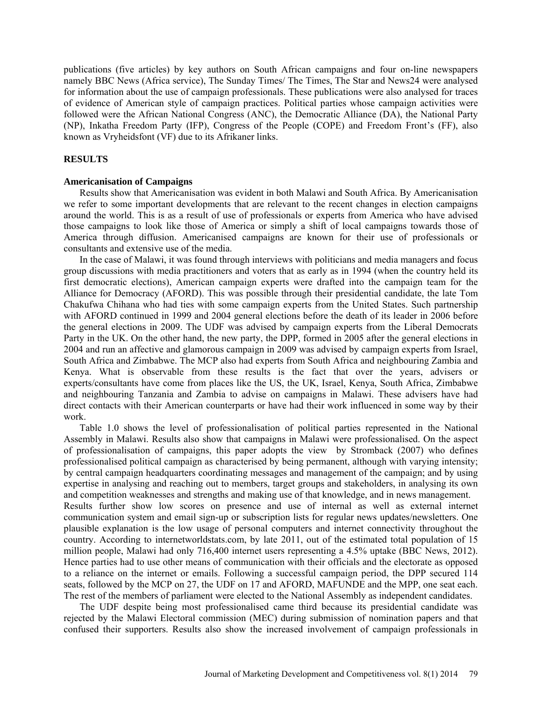publications (five articles) by key authors on South African campaigns and four on-line newspapers namely BBC News (Africa service), The Sunday Times/ The Times, The Star and News24 were analysed for information about the use of campaign professionals. These publications were also analysed for traces of evidence of American style of campaign practices. Political parties whose campaign activities were followed were the African National Congress (ANC), the Democratic Alliance (DA), the National Party (NP), Inkatha Freedom Party (IFP), Congress of the People (COPE) and Freedom Front's (FF), also known as Vryheidsfont (VF) due to its Afrikaner links.

## **RESULTS**

#### **Americanisation of Campaigns**

Results show that Americanisation was evident in both Malawi and South Africa. By Americanisation we refer to some important developments that are relevant to the recent changes in election campaigns around the world. This is as a result of use of professionals or experts from America who have advised those campaigns to look like those of America or simply a shift of local campaigns towards those of America through diffusion. Americanised campaigns are known for their use of professionals or consultants and extensive use of the media.

In the case of Malawi, it was found through interviews with politicians and media managers and focus group discussions with media practitioners and voters that as early as in 1994 (when the country held its first democratic elections), American campaign experts were drafted into the campaign team for the Alliance for Democracy (AFORD). This was possible through their presidential candidate, the late Tom Chakufwa Chihana who had ties with some campaign experts from the United States. Such partnership with AFORD continued in 1999 and 2004 general elections before the death of its leader in 2006 before the general elections in 2009. The UDF was advised by campaign experts from the Liberal Democrats Party in the UK. On the other hand, the new party, the DPP, formed in 2005 after the general elections in 2004 and run an affective and glamorous campaign in 2009 was advised by campaign experts from Israel, South Africa and Zimbabwe. The MCP also had experts from South Africa and neighbouring Zambia and Kenya. What is observable from these results is the fact that over the years, advisers or experts/consultants have come from places like the US, the UK, Israel, Kenya, South Africa, Zimbabwe and neighbouring Tanzania and Zambia to advise on campaigns in Malawi. These advisers have had direct contacts with their American counterparts or have had their work influenced in some way by their work.

Table 1.0 shows the level of professionalisation of political parties represented in the National Assembly in Malawi. Results also show that campaigns in Malawi were professionalised. On the aspect of professionalisation of campaigns, this paper adopts the view by Stromback (2007) who defines professionalised political campaign as characterised by being permanent, although with varying intensity; by central campaign headquarters coordinating messages and management of the campaign; and by using expertise in analysing and reaching out to members, target groups and stakeholders, in analysing its own and competition weaknesses and strengths and making use of that knowledge, and in news management. Results further show low scores on presence and use of internal as well as external internet communication system and email sign-up or subscription lists for regular news updates/newsletters. One plausible explanation is the low usage of personal computers and internet connectivity throughout the country. According to internetworldstats.com, by late 2011, out of the estimated total population of 15 million people, Malawi had only 716,400 internet users representing a 4.5% uptake (BBC News, 2012). Hence parties had to use other means of communication with their officials and the electorate as opposed to a reliance on the internet or emails. Following a successful campaign period, the DPP secured 114 seats, followed by the MCP on 27, the UDF on 17 and AFORD, MAFUNDE and the MPP, one seat each. The rest of the members of parliament were elected to the National Assembly as independent candidates.

The UDF despite being most professionalised came third because its presidential candidate was rejected by the Malawi Electoral commission (MEC) during submission of nomination papers and that confused their supporters. Results also show the increased involvement of campaign professionals in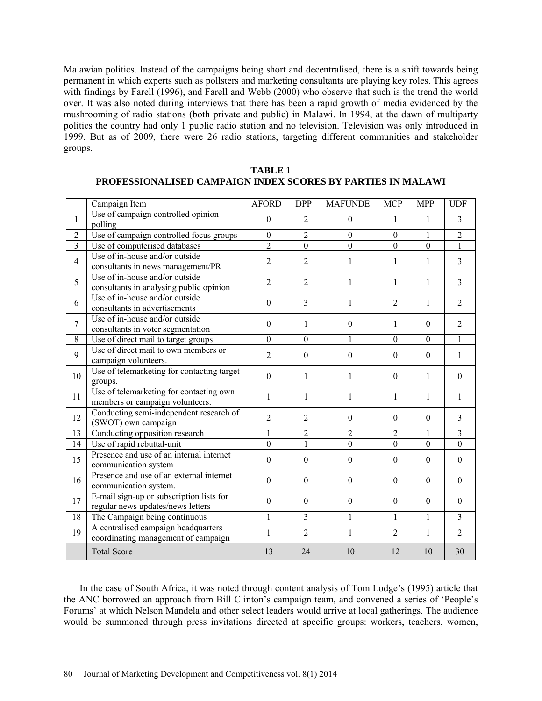Malawian politics. Instead of the campaigns being short and decentralised, there is a shift towards being permanent in which experts such as pollsters and marketing consultants are playing key roles. This agrees with findings by Farell (1996), and Farell and Webb (2000) who observe that such is the trend the world over. It was also noted during interviews that there has been a rapid growth of media evidenced by the mushrooming of radio stations (both private and public) in Malawi. In 1994, at the dawn of multiparty politics the country had only 1 public radio station and no television. Television was only introduced in 1999. But as of 2009, there were 26 radio stations, targeting different communities and stakeholder groups.

|                | Campaign Item                                                                 | <b>AFORD</b>     | <b>DPP</b>     | <b>MAFUNDE</b>   | <b>MCP</b>       | <b>MPP</b>       | <b>UDF</b>       |
|----------------|-------------------------------------------------------------------------------|------------------|----------------|------------------|------------------|------------------|------------------|
| $\mathbf{1}$   | Use of campaign controlled opinion<br>polling                                 | $\overline{0}$   | $\overline{2}$ | $\mathbf{0}$     | $\mathbf{1}$     | 1                | $\overline{3}$   |
| $\overline{2}$ | Use of campaign controlled focus groups                                       | $\overline{0}$   | $\overline{2}$ | $\mathbf{0}$     | $\mathbf{0}$     | 1                | $\overline{2}$   |
| $\overline{3}$ | Use of computerised databases                                                 | $\overline{2}$   | $\overline{0}$ | $\mathbf{0}$     | $\overline{0}$   | $\overline{0}$   | $\overline{1}$   |
| $\overline{4}$ | Use of in-house and/or outside<br>consultants in news management/PR           | $\overline{2}$   | $\overline{2}$ | $\mathbf{1}$     | $\mathbf{1}$     | 1                | $\mathfrak{Z}$   |
| 5              | Use of in-house and/or outside<br>consultants in analysing public opinion     | $\overline{2}$   | $\overline{2}$ | $\mathbf{1}$     | $\mathbf{1}$     | 1                | $\overline{3}$   |
| 6              | Use of in-house and/or outside<br>consultants in advertisements               | $\boldsymbol{0}$ | $\overline{3}$ | $\mathbf{1}$     | $\overline{2}$   | $\mathbf{1}$     | $\overline{2}$   |
| $\overline{7}$ | Use of in-house and/or outside<br>consultants in voter segmentation           | $\boldsymbol{0}$ | $\mathbf{1}$   | $\boldsymbol{0}$ | $\mathbf{1}$     | $\boldsymbol{0}$ | $\overline{2}$   |
| 8              | Use of direct mail to target groups                                           | $\overline{0}$   | $\mathbf{0}$   | $\mathbf{1}$     | $\mathbf{0}$     | $\mathbf{0}$     | $\overline{1}$   |
| 9              | Use of direct mail to own members or<br>campaign volunteers.                  | $\overline{2}$   | $\theta$       | $\boldsymbol{0}$ | $\boldsymbol{0}$ | $\boldsymbol{0}$ | $\mathbf{1}$     |
| 10             | Use of telemarketing for contacting target<br>groups.                         | $\boldsymbol{0}$ | $\mathbf{1}$   | $\mathbf{1}$     | $\boldsymbol{0}$ | $\mathbf{1}$     | $\boldsymbol{0}$ |
| 11             | Use of telemarketing for contacting own<br>members or campaign volunteers.    | $\mathbf{1}$     | $\mathbf{1}$   | $\mathbf{1}$     | $\mathbf{1}$     | 1                | $\mathbf{1}$     |
| 12             | Conducting semi-independent research of<br>(SWOT) own campaign                | $\overline{2}$   | $\overline{2}$ | $\boldsymbol{0}$ | $\boldsymbol{0}$ | $\boldsymbol{0}$ | $\overline{3}$   |
| 13             | Conducting opposition research                                                | 1                | $\sqrt{2}$     | $\overline{2}$   | $\overline{2}$   | 1                | $\mathfrak{Z}$   |
| 14             | Use of rapid rebuttal-unit                                                    | $\overline{0}$   | $\mathbf{1}$   | $\mathbf{0}$     | $\mathbf{0}$     | $\mathbf{0}$     | $\mathbf{0}$     |
| 15             | Presence and use of an internal internet<br>communication system              | $\overline{0}$   | $\mathbf{0}$   | $\mathbf{0}$     | $\mathbf{0}$     | $\theta$         | $\mathbf{0}$     |
| 16             | Presence and use of an external internet<br>communication system.             | $\mathbf{0}$     | $\mathbf{0}$   | $\theta$         | $\theta$         | $\theta$         | $\theta$         |
| 17             | E-mail sign-up or subscription lists for<br>regular news updates/news letters | $\overline{0}$   | $\mathbf{0}$   | $\theta$         | $\Omega$         | $\theta$         | $\theta$         |
| 18             | The Campaign being continuous                                                 | 1                | $\overline{3}$ | $\mathbf{1}$     | $\mathbf{1}$     | $\mathbf{1}$     | $\mathfrak{Z}$   |
| 19             | A centralised campaign headquarters<br>coordinating management of campaign    | $\mathbf{1}$     | $\overline{2}$ | $\mathbf{1}$     | $\overline{2}$   | $\mathbf{1}$     | $\overline{2}$   |
|                | <b>Total Score</b>                                                            | 13               | 24             | 10               | 12               | 10               | 30               |

**TABLE 1 PROFESSIONALISED CAMPAIGN INDEX SCORES BY PARTIES IN MALAWI**

In the case of South Africa, it was noted through content analysis of Tom Lodge's (1995) article that the ANC borrowed an approach from Bill Clinton's campaign team, and convened a series of 'People's Forums' at which Nelson Mandela and other select leaders would arrive at local gatherings. The audience would be summoned through press invitations directed at specific groups: workers, teachers, women,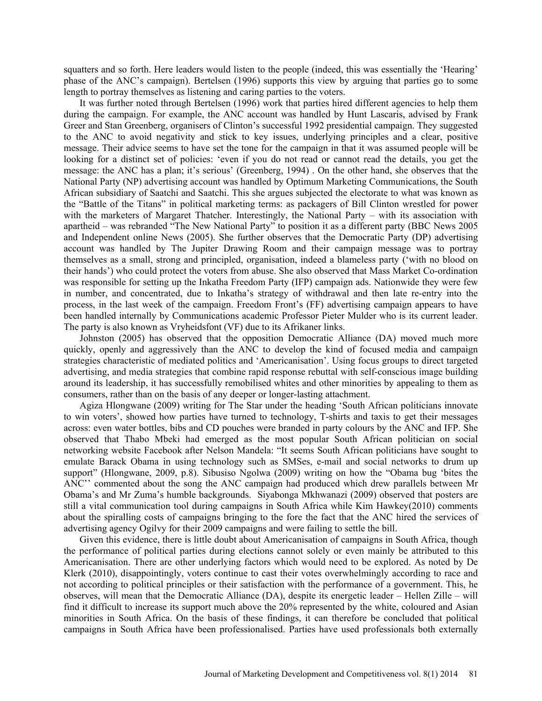squatters and so forth. Here leaders would listen to the people (indeed, this was essentially the 'Hearing' phase of the ANC's campaign). Bertelsen (1996) supports this view by arguing that parties go to some length to portray themselves as listening and caring parties to the voters.

It was further noted through Bertelsen (1996) work that parties hired different agencies to help them during the campaign. For example, the ANC account was handled by Hunt Lascaris, advised by Frank Greer and Stan Greenberg, organisers of Clinton's successful 1992 presidential campaign. They suggested to the ANC to avoid negativity and stick to key issues, underlying principles and a clear, positive message. Their advice seems to have set the tone for the campaign in that it was assumed people will be looking for a distinct set of policies: 'even if you do not read or cannot read the details, you get the message: the ANC has a plan; it's serious' (Greenberg, 1994) . On the other hand, she observes that the National Party (NP) advertising account was handled by Optimum Marketing Communications, the South African subsidiary of Saatchi and Saatchi. This she argues subjected the electorate to what was known as the "Battle of the Titans" in political marketing terms: as packagers of Bill Clinton wrestled for power with the marketers of Margaret Thatcher. Interestingly, the National Party – with its association with apartheid – was rebranded "The New National Party" to position it as a different party (BBC News 2005 and Independent online News (2005). She further observes that the Democratic Party (DP) advertising account was handled by The Jupiter Drawing Room and their campaign message was to portray themselves as a small, strong and principled, organisation, indeed a blameless party ('with no blood on their hands') who could protect the voters from abuse. She also observed that Mass Market Co-ordination was responsible for setting up the Inkatha Freedom Party (IFP) campaign ads. Nationwide they were few in number, and concentrated, due to Inkatha's strategy of withdrawal and then late re-entry into the process, in the last week of the campaign. Freedom Front's (FF) advertising campaign appears to have been handled internally by Communications academic Professor Pieter Mulder who is its current leader. The party is also known as Vryheidsfont (VF) due to its Afrikaner links.

Johnston (2005) has observed that the opposition Democratic Alliance (DA) moved much more quickly, openly and aggressively than the ANC to develop the kind of focused media and campaign strategies characteristic of mediated politics and 'Americanisation'. Using focus groups to direct targeted advertising, and media strategies that combine rapid response rebuttal with self-conscious image building around its leadership, it has successfully remobilised whites and other minorities by appealing to them as consumers, rather than on the basis of any deeper or longer-lasting attachment.

Agiza Hlongwane (2009) writing for The Star under the heading 'South African politicians innovate to win voters', showed how parties have turned to technology, T-shirts and taxis to get their messages across: even water bottles, bibs and CD pouches were branded in party colours by the ANC and IFP. She observed that Thabo Mbeki had emerged as the most popular South African politician on social networking website Facebook after Nelson Mandela: "It seems South African politicians have sought to emulate Barack Obama in using technology such as SMSes, e-mail and social networks to drum up support" (Hlongwane, 2009, p.8). Sibusiso Ngolwa (2009) writing on how the "Obama bug 'bites the ANC'' commented about the song the ANC campaign had produced which drew parallels between Mr Obama's and Mr Zuma's humble backgrounds. Siyabonga Mkhwanazi (2009) observed that posters are still a vital communication tool during campaigns in South Africa while Kim Hawkey(2010) comments about the spiralling costs of campaigns bringing to the fore the fact that the ANC hired the services of advertising agency Ogilvy for their 2009 campaigns and were failing to settle the bill.

Given this evidence, there is little doubt about Americanisation of campaigns in South Africa, though the performance of political parties during elections cannot solely or even mainly be attributed to this Americanisation. There are other underlying factors which would need to be explored. As noted by De Klerk (2010), disappointingly, voters continue to cast their votes overwhelmingly according to race and not according to political principles or their satisfaction with the performance of a government. This, he observes, will mean that the Democratic Alliance (DA), despite its energetic leader – Hellen Zille – will find it difficult to increase its support much above the 20% represented by the white, coloured and Asian minorities in South Africa. On the basis of these findings, it can therefore be concluded that political campaigns in South Africa have been professionalised. Parties have used professionals both externally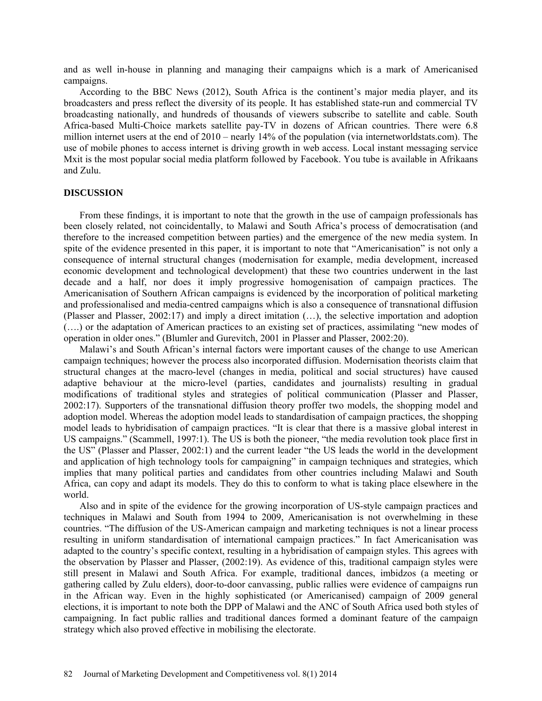and as well in-house in planning and managing their campaigns which is a mark of Americanised campaigns.

According to the BBC News (2012), South Africa is the continent's major media player, and its broadcasters and press reflect the diversity of its people. It has established state-run and commercial TV broadcasting nationally, and hundreds of thousands of viewers subscribe to satellite and cable. South Africa-based Multi-Choice markets satellite pay-TV in dozens of African countries. There were 6.8 million internet users at the end of 2010 – nearly 14% of the population (via internetworldstats.com). The use of mobile phones to access internet is driving growth in web access. Local instant messaging service Mxit is the most popular social media platform followed by Facebook. You tube is available in Afrikaans and Zulu.

## **DISCUSSION**

From these findings, it is important to note that the growth in the use of campaign professionals has been closely related, not coincidentally, to Malawi and South Africa's process of democratisation (and therefore to the increased competition between parties) and the emergence of the new media system. In spite of the evidence presented in this paper, it is important to note that "Americanisation" is not only a consequence of internal structural changes (modernisation for example, media development, increased economic development and technological development) that these two countries underwent in the last decade and a half, nor does it imply progressive homogenisation of campaign practices. The Americanisation of Southern African campaigns is evidenced by the incorporation of political marketing and professionalised and media-centred campaigns which is also a consequence of transnational diffusion (Plasser and Plasser, 2002:17) and imply a direct imitation (…), the selective importation and adoption (….) or the adaptation of American practices to an existing set of practices, assimilating "new modes of operation in older ones." (Blumler and Gurevitch, 2001 in Plasser and Plasser, 2002:20).

Malawi's and South African's internal factors were important causes of the change to use American campaign techniques; however the process also incorporated diffusion. Modernisation theorists claim that structural changes at the macro-level (changes in media, political and social structures) have caused adaptive behaviour at the micro-level (parties, candidates and journalists) resulting in gradual modifications of traditional styles and strategies of political communication (Plasser and Plasser, 2002:17). Supporters of the transnational diffusion theory proffer two models, the shopping model and adoption model. Whereas the adoption model leads to standardisation of campaign practices, the shopping model leads to hybridisation of campaign practices. "It is clear that there is a massive global interest in US campaigns." (Scammell, 1997:1). The US is both the pioneer, "the media revolution took place first in the US" (Plasser and Plasser, 2002:1) and the current leader "the US leads the world in the development and application of high technology tools for campaigning" in campaign techniques and strategies, which implies that many political parties and candidates from other countries including Malawi and South Africa, can copy and adapt its models. They do this to conform to what is taking place elsewhere in the world.

Also and in spite of the evidence for the growing incorporation of US-style campaign practices and techniques in Malawi and South from 1994 to 2009, Americanisation is not overwhelming in these countries. "The diffusion of the US-American campaign and marketing techniques is not a linear process resulting in uniform standardisation of international campaign practices." In fact Americanisation was adapted to the country's specific context, resulting in a hybridisation of campaign styles. This agrees with the observation by Plasser and Plasser, (2002:19). As evidence of this, traditional campaign styles were still present in Malawi and South Africa. For example, traditional dances, imbidzos (a meeting or gathering called by Zulu elders), door-to-door canvassing, public rallies were evidence of campaigns run in the African way. Even in the highly sophisticated (or Americanised) campaign of 2009 general elections, it is important to note both the DPP of Malawi and the ANC of South Africa used both styles of campaigning. In fact public rallies and traditional dances formed a dominant feature of the campaign strategy which also proved effective in mobilising the electorate.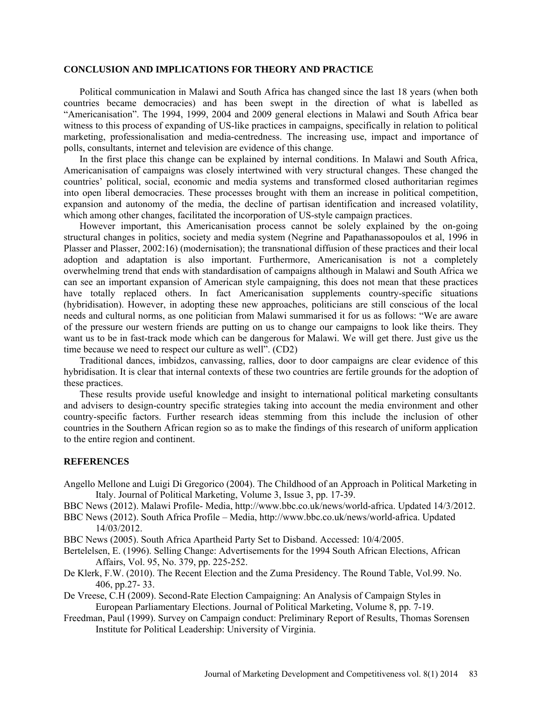#### **CONCLUSION AND IMPLICATIONS FOR THEORY AND PRACTICE**

Political communication in Malawi and South Africa has changed since the last 18 years (when both countries became democracies) and has been swept in the direction of what is labelled as "Americanisation". The 1994, 1999, 2004 and 2009 general elections in Malawi and South Africa bear witness to this process of expanding of US-like practices in campaigns, specifically in relation to political marketing, professionalisation and media-centredness. The increasing use, impact and importance of polls, consultants, internet and television are evidence of this change.

In the first place this change can be explained by internal conditions. In Malawi and South Africa, Americanisation of campaigns was closely intertwined with very structural changes. These changed the countries' political, social, economic and media systems and transformed closed authoritarian regimes into open liberal democracies. These processes brought with them an increase in political competition, expansion and autonomy of the media, the decline of partisan identification and increased volatility, which among other changes, facilitated the incorporation of US-style campaign practices.

However important, this Americanisation process cannot be solely explained by the on-going structural changes in politics, society and media system (Negrine and Papathanassopoulos et al, 1996 in Plasser and Plasser, 2002:16) (modernisation); the transnational diffusion of these practices and their local adoption and adaptation is also important. Furthermore, Americanisation is not a completely overwhelming trend that ends with standardisation of campaigns although in Malawi and South Africa we can see an important expansion of American style campaigning, this does not mean that these practices have totally replaced others. In fact Americanisation supplements country-specific situations (hybridisation). However, in adopting these new approaches, politicians are still conscious of the local needs and cultural norms, as one politician from Malawi summarised it for us as follows: "We are aware of the pressure our western friends are putting on us to change our campaigns to look like theirs. They want us to be in fast-track mode which can be dangerous for Malawi. We will get there. Just give us the time because we need to respect our culture as well". (CD2)

Traditional dances, imbidzos, canvassing, rallies, door to door campaigns are clear evidence of this hybridisation. It is clear that internal contexts of these two countries are fertile grounds for the adoption of these practices.

These results provide useful knowledge and insight to international political marketing consultants and advisers to design-country specific strategies taking into account the media environment and other country-specific factors. Further research ideas stemming from this include the inclusion of other countries in the Southern African region so as to make the findings of this research of uniform application to the entire region and continent.

#### **REFERENCES**

- Angello Mellone and Luigi Di Gregorico (2004). The Childhood of an Approach in Political Marketing in Italy. Journal of Political Marketing, Volume 3, Issue 3, pp. 17-39.
- BBC News (2012). Malawi Profile- Media, [http://www.bbc.co.uk/news/world-africa. Updated 14/3/2012.](http://www.bbc.co.uk/news/world-africa.%20Updated%2014/3/2012) BBC News (2012). South Africa Profile – Media, [http://www.bbc.co.uk/news/world-africa.](http://www.bbc.co.uk/news/world-africa) Updated

14/03/2012.

- BBC News (2005). South Africa Apartheid Party Set to Disband. Accessed: 10/4/2005.
- Bertelelsen, E. (1996). Selling Change: Advertisements for the 1994 South African Elections, African Affairs, Vol. 95, No. 379, pp. 225-252.
- De Klerk, F.W. (2010). The Recent Election and the Zuma Presidency. The Round Table, Vol.99. No. 406, pp.27- 33.
- De Vreese, C.H (2009). Second-Rate Election Campaigning: An Analysis of Campaign Styles in European Parliamentary Elections. Journal of Political Marketing, Volume 8, pp. 7-19.
- Freedman, Paul (1999). Survey on Campaign conduct: Preliminary Report of Results, Thomas Sorensen Institute for Political Leadership: University of Virginia.